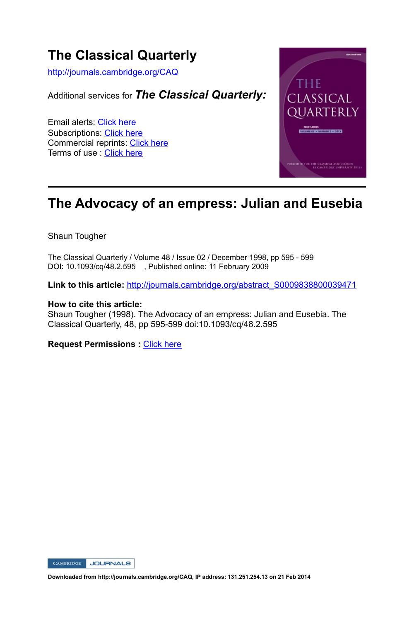# **The Classical Quarterly**

http://journals.cambridge.org/CAQ

Additional services for *The Classical Quarterly:*

Email alerts: Click here Subscriptions: Click here Commercial reprints: Click here Terms of use : Click here



# **The Advocacy of an empress: Julian and Eusebia**

Shaun Tougher

The Classical Quarterly / Volume 48 / Issue 02 / December 1998, pp 595 - 599 DOI: 10.1093/cq/48.2.595 , Published online: 11 February 2009

**Link to this article:** http://journals.cambridge.org/abstract\_S0009838800039471

## **How to cite this article:**

Shaun Tougher (1998). The Advocacy of an empress: Julian and Eusebia. The Classical Quarterly, 48, pp 595-599 doi:10.1093/cq/48.2.595

**Request Permissions :** Click here

CAMBRIDGE JOURNALS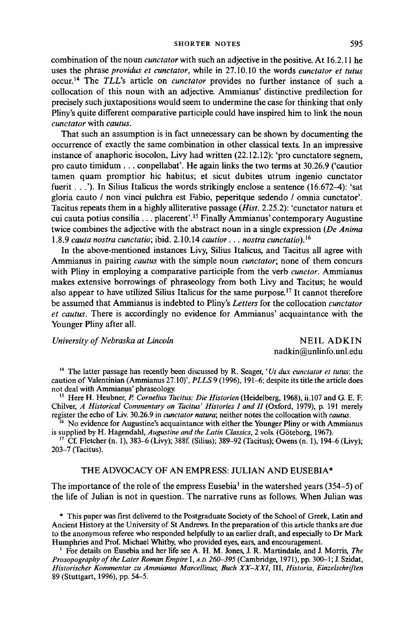#### SHORTER NOTES 595

combination of the noun *cunctator* with such an adjective in the positive. At 16.2.11 he uses the phrase *providus et cunctator,* while in 27.10.10 the words *cunctator et tutus* occur.14 The *TLL's* article on *cunctator* provides no further instance of such a collocation of this noun with an adjective. Ammianus' distinctive predilection for precisely such juxtapositions would seem to undermine the case for thinking that only Pliny's quite different comparative participle could have inspired him to link the noun *cunctator* with *cautus.*

That such an assumption is in fact unnecessary can be shown by documenting the occurrence of exactly the same combination in other classical texts. In an impressive instance of anaphoric isocolon, Livy had written (22.12.12): 'pro cunctatore segnem, pro cauto timidum . .. conpellabat'. He again links the two terms at 30.26.9 ('cautior tamen quam promptior hie habitus; et sicut dubites utrum ingenio cunctator fuerit . . .'). In Silius Italicus the words strikingly enclose a sentence (16.672-4): 'sat gloria cauto / non vinci pulchra est Fabio, peperitque sedendo / omnia cunctator'. Tacitus repeats them in a highly alliterative passage *(Hist.* 2.25.2): 'cunctator natura et cui cauta potius consilia .. . placerent'.<sup>15</sup> Finally Ammianus' contemporary Augustine twice combines the adjective with the abstract noun in a single expression *(De Anima* 1.8.9 *cauta nostra cunctatio;* ibid. 2.10.14 *cautior. . . nostra cunctatio).16*

In the above-mentioned instances Livy, Silius Italicus, and Tacitus all agree with Ammianus in pairing *cautus* with the simple noun *cunctator,* none of them concurs with Pliny in employing a comparative participle from the verb *cunctor.* Ammianus makes extensive borrowings of phraseology from both Livy and Tacitus; he would also appear to have utilized Silius Italicus for the same purpose.<sup>17</sup> It cannot therefore be assumed that Ammianus is indebted to Pliny's *Letters* for the collocation *cunctator et cautus.* There is accordingly no evidence for Ammianus' acquaintance with the Younger Pliny after all.

*University of Nebraska at Lincoln* MEIL ADKIN

nadkin@unlinfo.unl.edu

<sup>14</sup> The latter passage has recently been discussed by R. Seager, *'Ut dux cunctator et tutus*: the caution of Valentinian (Ammianus 27.10)', *PLLS* 9 (1996), 191–6; despite its title the article does not deal with Ammian

<sup>15</sup> Here H. Heubner, *P. Cornelius Tacitus: Die Historien* (Heidelberg, 1968), ii.107 and G. E. F. Chilver, *A Historical Commentary on Tacitus' Histories I and II* (Oxford, 1979), p. 191 merely register the echo of Liv. 30.26.9 in *cunctator natura;* neither notes the collocation with *cautus.* <sup>16</sup>

<sup>16</sup> No evidence for Augustine's acquaintance with either the Younger Pliny or with Ammianus is supplied by H. Hagendahl, *Augustine and the Latin Classics*, 2 vols. (Göteborg, 1967).

<sup>17</sup> Cf. Fletcher (n. 1), 383–6 (Livy); 388f. (Silius); 389–92 (Tacitus); Owens (n. 1), 194–6 (Livy); 203-7 (Tacitus).

### THE ADVOCACY OF AN EMPRESS: JULIAN AND EUSEBIA\*

The importance of the role of the empress Eusebia<sup>1</sup> in the watershed years (354-5) of the life of Julian is not in question. The narrative runs as follows. When Julian was

\* This paper was first delivered to the Postgraduate Society of the School of Greek, Latin and to the anonymous referee who responded helpfully to an earlier draft, and especially to Dr Mark Humphries and Prof. Michael Whitby, who provided eyes, ears, and encouragement.

 For details on Eusebia and her life see A. H. M. Jones, J. R. Martindale, and J. Morris, *The Prosopography of the Later Roman Empire* I, *AD. 260-395* (Cambridge, 1971), pp. 300-1; J. Szidat, *Histohscher Kommentar zu Ammianus Marcellinus, Buch XX—XXI,* III, *Historia, Einzelschriften* 89 (Stuttgart, 1996), pp. 54-5.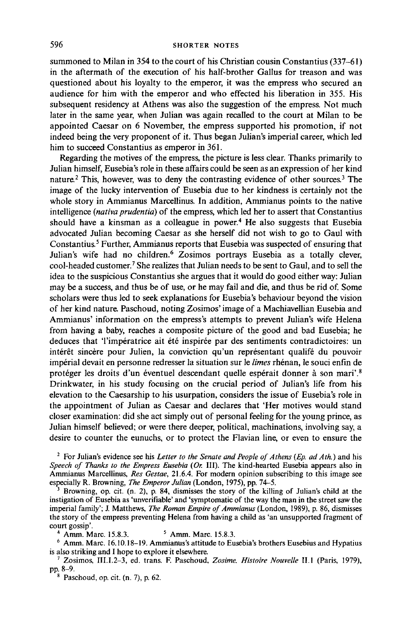summoned to Milan in 354 to the court of his Christian cousin Constantius (337-61) in the aftermath of the execution of his half-brother Gallus for treason and was questioned about his loyalty to the emperor, it was the empress who secured an audience for him with the emperor and who effected his liberation in 355. His subsequent residency at Athens was also the suggestion of the empress. Not much later in the same year, when Julian was again recalled to the court at Milan to be appointed Caesar on 6 November, the empress supported his promotion, if not indeed being the very proponent of it. Thus began Julian's imperial career, which led him to succeed Constantius as emperor in 361.

Regarding the motives of the empress, the picture is less clear. Thanks primarily to Julian himself, Eusebia's role in these affairs could be seen as an expression of her kind nature.<sup>2</sup> This, however, was to deny the contrasting evidence of other sources.<sup>3</sup> The image of the lucky intervention of Eusebia due to her kindness is certainly not the whole story in Ammianus Marcellinus. In addition, Ammianus points to the native intelligence *(nativa prudentia)* of the empress, which led her to assert that Constantius should have a kinsman as a colleague in power.<sup>4</sup> He also suggests that Eusebia advocated Julian becoming Caesar as she herself did not wish to go to Gaul with Constantius.5 Further, Ammianus reports that Eusebia was suspected of ensuring that Julian's wife had no children.<sup>6</sup> Zosimos portrays Eusebia as a totally clever, cool-headed customer.7 She realizes that Julian needs to be sent to Gaul, and to sell the idea to the suspicious Constantius she argues that it would do good either way: Julian may be a success, and thus be of use, or he may fail and die, and thus be rid of. Some scholars were thus led to seek explanations for Eusebia's behaviour beyond the vision of her kind nature. Paschoud, noting Zosimos' image of a Machiavellian Eusebia and Ammianus' information on the empress's attempts to prevent Julian's wife Helena from having a baby, reaches a composite picture of the good and bad Eusebia; he deduces that 'l'impératrice ait été inspirée par des sentiments contradictoires: un intérêt sincère pour Julien, la conviction qu'un représentant qualifé du pouvoir imperial devait en personne redresser la situation sur le *limes* rhenan, le souci enfin de protéger les droits d'un éventuel descendant quelle espérait donner à son mari'.<sup>8</sup> Drinkwater, in his study focusing on the crucial period of Julian's life from his elevation to the Caesarship to his usurpation, considers the issue of Eusebia's role in the appointment of Julian as Caesar and declares that 'Her motives would stand closer examination: did she act simply out of personal feeling for the young prince, as Julian himself believed; or were there deeper, political, machinations, involving say, a desire to counter the eunuchs, or to protect the Flavian line, or even to ensure the

2 For Julian's evidence see his *Letter to the Senate and People of Athens (Ep. ad Ath.)* and his *Speech of Thanks to the Empress Eusebia (Or.* III). The kind-hearted Eusebia appears also in Ammianus Marcellinus, *Res Gestae,* 21.6.4. For modern opinion subscribing to this image see especially R. Browning, *The Emperor Julian* (London, 1975), pp. 74-5.

 Browning, op. cit. (n. 2), p. 84, dismisses the story of the killing of Julian's child at the instigation of Eusebia as 'unverifiable' and 'symptomatic of the way the man in the street saw the imperial family'; J. Matthews, *The Roman Empire of Ammianus* (London, 1989), p. 86, dismisses the story of the empress preventing Helena from having a child as 'an unsupported fragment of court gossip'.

4 Amm. Marc. 15.8.3.

<sup>4</sup> Amm. Marc. 15.8.3. <sup>5</sup> Amm. Marc. 15.8.3.<br><sup>6</sup> Amm. Marc. 16.10.18–19. Ammianus's attitude to Eusebia's brothers Eusebius and Hypatius is also striking and I hope to explore it elsewhere.

 Zosimos, III.1.2-3, ed. trans. F. Paschoud, *Zosime. Histoire Nouvelle* II.1 (Paris, 1979), pp. 8-9.

 $8$  Paschoud, op. cit. (n. 7), p. 62.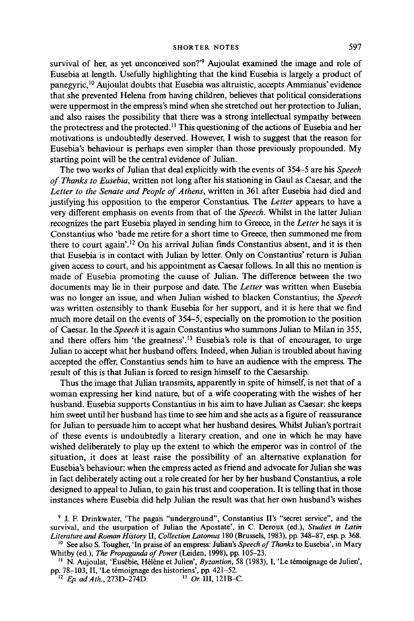survival of her, as yet unconceived son?<sup>9</sup> Aujoulat examined the image and role of Eusebia at length. Usefully highlighting that the kind Eusebia is largely a product of panegyric,<sup>10</sup> Aujoulat doubts that Eusebia was altruistic, accepts Ammianus' evidence that she prevented Helena from having children, believes that political considerations were uppermost in the empress's mind when she stretched out her protection to Julian, and also raises the possibility that there was a strong intellectual sympathy between the protectress and the protected.<sup>11</sup> This questioning of the actions of Eusebia and her motivations is undoubtedly deserved. However, I wish to suggest that the reason for Eusebia's behaviour is perhaps even simpler than those previously propounded. My starting point will be the central evidence of Julian.

The two works of Julian that deal explicitly with the events of 354-5 are his *Speech of Thanks to Eusebia,* written not long after his stationing in Gaul as Caesar, and the *Letter to the Senate and People of Athens,* written in 361 after Eusebia had died and justifying his opposition to the emperor Constantius. The *Letter* appears to have a very different emphasis on events from that of the *Speech.* Whilst in the latter Julian recognizes the part Eusebia played in sending him to Greece, in the *Letter* he says it is Constantius who 'bade me retire for a short time to Greece, then summoned me from there to court again'.12 On his arrival Julian finds Constantius absent, and it is then that Eusebia is in contact with Julian by letter. Only on Constantius' return is Julian given access to court, and his appointment as Caesar follows. In all this no mention is made of Eusebia promoting the cause of Julian. The difference between the two documents may lie in their purpose and date. The *Letter* was written when Eusebia was no longer an issue, and when Julian wished to blacken Constantius; the *Speech* was written ostensibly to thank Eusebia for her support, and it is here that we find much more detail on the events of 354-5, especially on the promotion to the position of Caesar. In the *Speech* it is again Constantius who summons Julian to Milan in 355, and there offers him 'the greatness'.<sup>13</sup> Eusebia's role is that of encourager, to urge Julian to accept what her husband offers. Indeed, when Julian is troubled about having accepted the offer, Constantius sends him to have an audience with the empress. The result of this is that Julian is forced to resign himself to the Caesarship.

Thus the image that Julian transmits, apparently in spite of himself, is not that of a woman expressing her kind nature, but of a wife cooperating with the wishes of her husband. Eusebia supports Constantius in his aim to have Julian as Caesar: she keeps him sweet until her husband has time to see him and she acts as a figure of reassurance for Julian to persuade him to accept what her husband desires. Whilst Julian's portrait of these events is undoubtedly a literary creation, and one in which he may have wished deliberately to play up the extent to which the emperor was in control of the situation, it does at least raise the possibility of an alternative explanation for Eusebia's behaviour: when the empress acted as friend and advocate for Julian she was in fact deliberately acting out a role created for her by her husband Constantius, a role designed to appeal to Julian, to gain his trust and cooperation. It is telling that in those instances where Eusebia did help Julian the result was that her own husband's wishes

<sup>&</sup>lt;sup>9</sup> J. F. Drinkwater, 'The pagan "underground", Constantius II's "secret service", and the survival, and the usurpation of Julian the Apostate', in C. Deroux (ed.), *Studies in Latin Literature and Roman History* II, *Collection Latomus* 180 (Brussels, 1983), pp. 348-87, esp. p. 368. <sup>10</sup> <sup>10</sup> See also S. Tougher, 'In praise of an empress: Julian's *Speech of Thanks* to Eusebia', in Mary

Whitby (ed.), *The Propaganda of Power* (Leiden, 1998), pp. 105-23.

N. Aujoulat, 'Eusebie, Helene et Julien', *Byzantion,* 58 (1983), I, 'Le temoignage de Julien', pp. 78-103, II, 'Le témoignage des historiens', pp. 421-52.

*Ep. adAth.,* 273D-274D. <sup>13</sup> Or. III, 121B-C.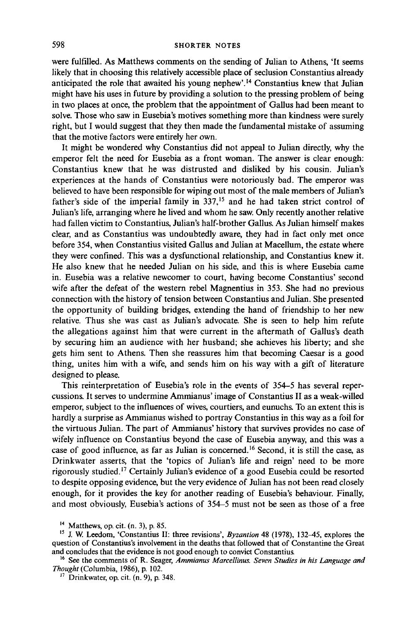were fulfilled. As Matthews comments on the sending of Julian to Athens, 'It seems likely that in choosing this relatively accessible place of seclusion Constantius already anticipated the role that awaited his young nephew'.<sup>14</sup> Constantius knew that Julian might have his uses in future by providing a solution to the pressing problem of being in two places at once, the problem that the appointment of Gallus had been meant to solve. Those who saw in Eusebia's motives something more than kindness were surely right, but I would suggest that they then made the fundamental mistake of assuming that the motive factors were entirely her own.

It might be wondered why Constantius did not appeal to Julian directly, why the emperor felt the need for Eusebia as a front woman. The answer is clear enough: Constantius knew that he was distrusted and disliked by his cousin. Julian's experiences at the hands of Constantius were notoriously bad. The emperor was believed to have been responsible for wiping out most of the male members of Julian's father's side of the imperial family in  $337$ ,<sup>15</sup> and he had taken strict control of Julian's life, arranging where he lived and whom he saw. Only recently another relative had fallen victim to Constantius, Julian's half-brother Gallus. As Julian himself makes clear, and as Constantius was undoubtedly aware, they had in fact only met once before 354, when Constantius visited Gallus and Julian at Macellum, the estate where they were confined. This was a dysfunctional relationship, and Constantius knew it. He also knew that he needed Julian on his side, and this is where Eusebia came in. Eusebia was a relative newcomer to court, having become Constantius' second wife after the defeat of the western rebel Magnentius in 353. She had no previous connection with the history of tension between Constantius and Julian. She presented the opportunity of building bridges, extending the hand of friendship to her new relative. Thus she was cast as Julian's advocate. She is seen to help him refute the allegations against him that were current in the aftermath of Gallus's death by securing him an audience with her husband; she achieves his liberty; and she gets him sent to Athens. Then she reassures him that becoming Caesar is a good thing, unites him with a wife, and sends him on his way with a gift of literature designed to please.

This reinterpretation of Eusebia's role in the events of 354-5 has several repercussions. It serves to undermine Ammianus' image of Constantius II as a weak-willed emperor, subject to the influences of wives, courtiers, and eunuchs. To an extent this is hardly a surprise as Ammianus wished to portray Constantius in this way as a foil for the virtuous Julian. The part of Ammianus' history that survives provides no case of wifely influence on Constantius beyond the case of Eusebia anyway, and this was a case of good influence, as far as Julian is concerned.<sup>16</sup> Second, it is still the case, as Drinkwater asserts, that the 'topics of Julian's life and reign' need to be more rigorously studied.17 Certainly Julian's evidence of a good Eusebia could be resorted to despite opposing evidence, but the very evidence of Julian has not been read closely enough, for it provides the key for another reading of Eusebia's behaviour. Finally, and most obviously, Eusebia's actions of 354-5 must not be seen as those of a free

<sup>15</sup> J. W. Leedom, 'Constantius II: three revisions', *Byzantion* 48 (1978), 132-45, explores the question of Constantius's involvement in the deaths that followed that of Constantine the Great and concludes that the evidence is not good enough to convict Constantius. <sup>16</sup>

<sup>16</sup> See the comments of R. Seager, *Ammianus Marcellinus. Seven Studies in his Language and Thought* (Columbia, 1986), p. 102.

 $17$  Drinkwater, op. cit. (n. 9), p. 348.

<sup>&</sup>lt;sup>14</sup> Matthews, op. cit.  $(n, 3)$ , p. 85.<br><sup>15</sup> J. W. Leadern, Constantius II